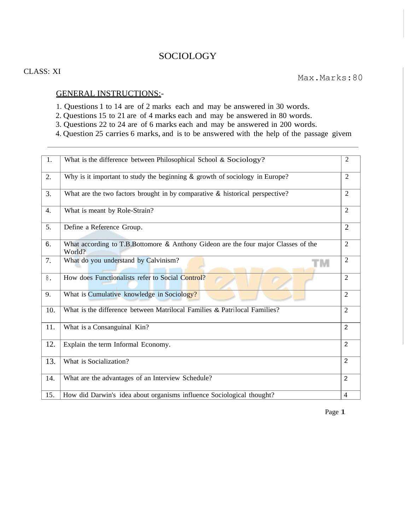## SOCIOLOGY

## CLASS: XI

## GENERAL INSTRUCTIONS:-

- 1. Questions 1 to 14 are of 2 marks each and may be answered in 30 words.
- 2. Questions 15 to 21 are of 4 marks each and may be answered in 80 words.
- 3. Questions 22 to 24 are of 6 marks each and may be answered in 200 words.
- 4. Question 25 carries 6 marks, and is to be answered with the help of the passage givem

| 1.  | What is the difference between Philosophical School & Sociology?                             | $\overline{2}$ |
|-----|----------------------------------------------------------------------------------------------|----------------|
| 2.  | Why is it important to study the beginning & growth of sociology in Europe?                  | $\overline{2}$ |
| 3.  | What are the two factors brought in by comparative & historical perspective?                 | $\overline{2}$ |
| 4.  | What is meant by Role-Strain?                                                                | $\overline{2}$ |
| 5.  | Define a Reference Group.                                                                    | $\overline{2}$ |
| 6.  | What according to T.B.Bottomore & Anthony Gideon are the four major Classes of the<br>World? | $\overline{2}$ |
| 7.  | What do you understand by Calvinism?<br>ГM                                                   | $\overline{2}$ |
| 8.  | How does Functionalists refer to Social Control?                                             | 2              |
| 9.  | What is Cumulative knowledge in Sociology?                                                   | $\overline{2}$ |
| 10. | What is the difference between Matrilocal Families & Patrilocal Families?                    | $\overline{2}$ |
| 11. | What is a Consanguinal Kin?                                                                  | 2              |
| 12. | Explain the term Informal Economy.                                                           | 2              |
| 13. | What is Socialization?                                                                       | $\overline{2}$ |
| 14. | What are the advantages of an Interview Schedule?                                            | $\overline{2}$ |
| 15. | How did Darwin's idea about organisms influence Sociological thought?                        | $\overline{4}$ |

Page 1